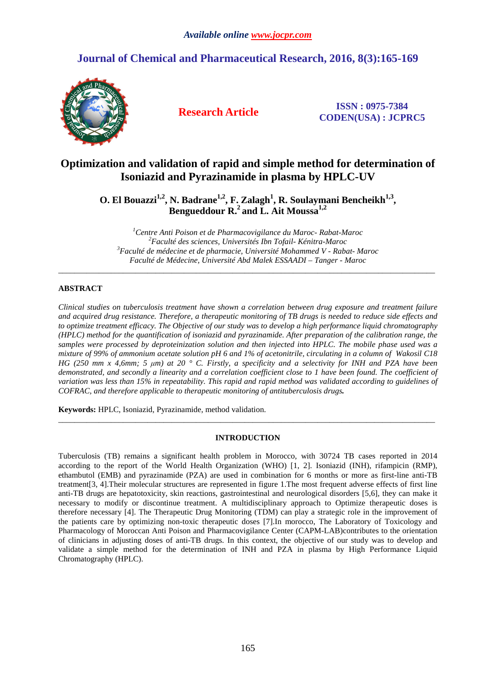# **Journal of Chemical and Pharmaceutical Research, 2016, 8(3):165-169**



**Research Article ISSN : 0975-7384 CODEN(USA) : JCPRC5**

# **Optimization and validation of rapid and simple method for determination of Isoniazid and Pyrazinamide in plasma by HPLC-UV**

**O. El Bouazzi1,2, N. Badrane1,2, F. Zalagh<sup>1</sup> , R. Soulaymani Bencheikh1,3 , Bengueddour R.<sup>2</sup>and L. Ait Moussa1,2** 

*Centre Anti Poison et de Pharmacovigilance du Maroc- Rabat-Maroc Faculté des sciences, Universités Ibn Tofail- Kénitra-Maroc Faculté de médecine et de pharmacie, Université Mohammed V - Rabat- Maroc Faculté de Médecine, Université Abd Malek ESSAADI – Tanger - Maroc* 

 $\overline{a}$  , and the contribution of the contribution of the contribution of the contribution of the contribution of the contribution of the contribution of the contribution of the contribution of the contribution of the co

# **ABSTRACT**

*Clinical studies on tuberculosis treatment have shown a correlation between drug exposure and treatment failure and acquired drug resistance. Therefore, a therapeutic monitoring of TB drugs is needed to reduce side effects and to optimize treatment efficacy. The Objective of our study was to develop a high performance liquid chromatography (HPLC) method for the quantification of isoniazid and pyrazinamide. After preparation of the calibration range, the samples were processed by deproteinization solution and then injected into HPLC. The mobile phase used was a mixture of 99% of ammonium acetate solution pH 6 and 1% of acetonitrile, circulating in a column of Wakosil C18 HG (250 mm x 4,6mm; 5 µm) at 20 ° C. Firstly, a specificity and a selectivity for INH and PZA have been demonstrated, and secondly a linearity and a correlation coefficient close to 1 have been found. The coefficient of variation was less than 15% in repeatability. This rapid and rapid method was validated according to guidelines of COFRAC, and therefore applicable to therapeutic monitoring of antituberculosis drugs.* 

**Keywords:** HPLC, Isoniazid, Pyrazinamide, method validation.

# **INTRODUCTION**

 $\overline{a}$  , and the contribution of the contribution of the contribution of the contribution of the contribution of the contribution of the contribution of the contribution of the contribution of the contribution of the co

Tuberculosis (TB) remains a significant health problem in Morocco, with 30724 TB cases reported in 2014 according to the report of the World Health Organization (WHO) [1, 2]. Isoniazid (INH), rifampicin (RMP), ethambutol (EMB) and pyrazinamide (PZA) are used in combination for 6 months or more as first-line anti-TB treatment[3, 4].Their molecular structures are represented in figure 1.The most frequent adverse effects of first line anti-TB drugs are hepatotoxicity, skin reactions, gastrointestinal and neurological disorders [5,6], they can make it necessary to modify or discontinue treatment. A multidisciplinary approach to Optimize therapeutic doses is therefore necessary [4]. The Therapeutic Drug Monitoring (TDM) can play a strategic role in the improvement of the patients care by optimizing non-toxic therapeutic doses [7].In morocco, The Laboratory of Toxicology and Pharmacology of Moroccan Anti Poison and Pharmacovigilance Center (CAPM-LAB)contributes to the orientation of clinicians in adjusting doses of anti-TB drugs. In this context, the objective of our study was to develop and validate a simple method for the determination of INH and PZA in plasma by High Performance Liquid Chromatography (HPLC).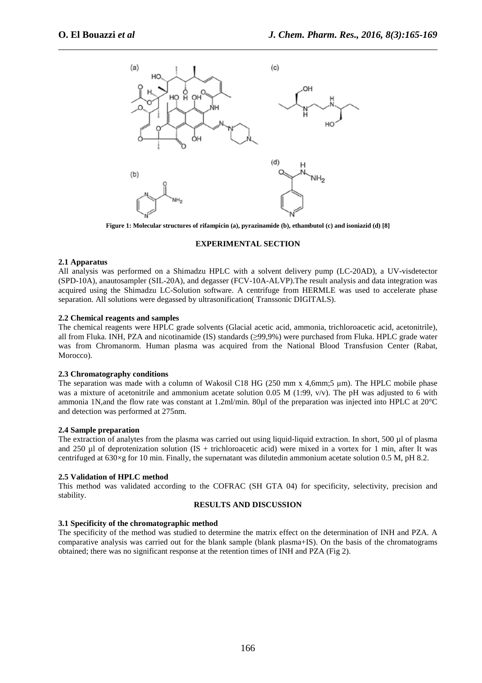

\_\_\_\_\_\_\_\_\_\_\_\_\_\_\_\_\_\_\_\_\_\_\_\_\_\_\_\_\_\_\_\_\_\_\_\_\_\_\_\_\_\_\_\_\_\_\_\_\_\_\_\_\_\_\_\_\_\_\_\_\_\_\_\_\_\_\_\_\_\_\_\_\_\_\_\_\_\_

**Figure 1: Molecular structures of rifampicin (a), pyrazinamide (b), ethambutol (c) and isoniazid (d) [8]** 

#### **EXPERIMENTAL SECTION**

### **2.1 Apparatus**

All analysis was performed on a Shimadzu HPLC with a solvent delivery pump (LC-20AD), a UV-visdetector (SPD-10A), anautosampler (SIL-20A), and degasser (FCV-10A-ALVP).The result analysis and data integration was acquired using the Shimadzu LC-Solution software. A centrifuge from HERMLE was used to accelerate phase separation. All solutions were degassed by ultrasonification( Transsonic DIGITALS).

#### **2.2 Chemical reagents and samples**

The chemical reagents were HPLC grade solvents (Glacial acetic acid, ammonia, trichloroacetic acid, acetonitrile), all from Fluka. INH, PZA and nicotinamide (IS) standards (≥99,9%) were purchased from Fluka. HPLC grade water was from Chromanorm. Human plasma was acquired from the National Blood Transfusion Center (Rabat, Morocco).

#### **2.3 Chromatography conditions**

The separation was made with a column of Wakosil C18 HG (250 mm x 4,6mm;5 µm). The HPLC mobile phase was a mixture of acetonitrile and ammonium acetate solution 0.05 M (1:99,  $v/v$ ). The pH was adjusted to 6 with ammonia 1N,and the flow rate was constant at 1.2ml/min. 80µl of the preparation was injected into HPLC at 20°C and detection was performed at 275nm.

### **2.4 Sample preparation**

The extraction of analytes from the plasma was carried out using liquid-liquid extraction. In short, 500 µl of plasma and 250  $\mu$ l of deprotenization solution (IS + trichloroacetic acid) were mixed in a vortex for 1 min, after It was centrifuged at 630×g for 10 min. Finally, the supernatant was dilutedin ammonium acetate solution 0.5 M, pH 8.2.

### **2.5 Validation of HPLC method**

This method was validated according to the COFRAC (SH GTA 04) for specificity, selectivity, precision and stability.

## **RESULTS AND DISCUSSION**

### **3.1 Specificity of the chromatographic method**

The specificity of the method was studied to determine the matrix effect on the determination of INH and PZA. A comparative analysis was carried out for the blank sample (blank plasma+IS). On the basis of the chromatograms obtained; there was no significant response at the retention times of INH and PZA (Fig 2).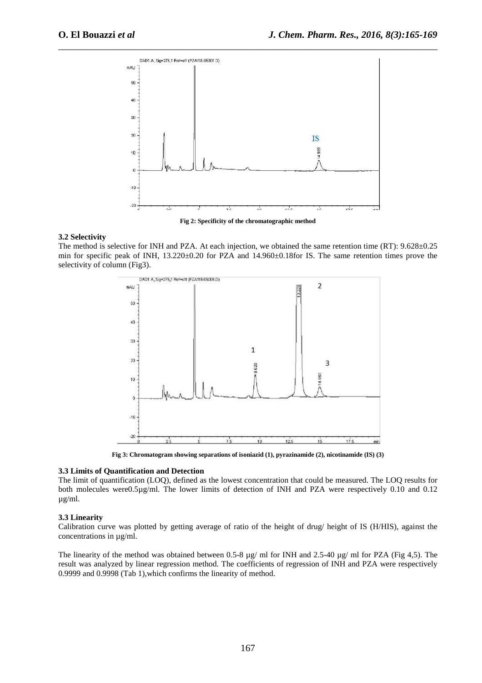

\_\_\_\_\_\_\_\_\_\_\_\_\_\_\_\_\_\_\_\_\_\_\_\_\_\_\_\_\_\_\_\_\_\_\_\_\_\_\_\_\_\_\_\_\_\_\_\_\_\_\_\_\_\_\_\_\_\_\_\_\_\_\_\_\_\_\_\_\_\_\_\_\_\_\_\_\_\_

**Fig 2: Specificity of the chromatographic method** 

## **3.2 Selectivity**

The method is selective for INH and PZA. At each injection, we obtained the same retention time (RT): 9.628±0.25 min for specific peak of INH, 13.220±0.20 for PZA and 14.960±0.18for IS. The same retention times prove the selectivity of column (Fig3).



**Fig 3: Chromatogram showing separations of isoniazid (1), pyrazinamide (2), nicotinamide (IS) (3)** 

#### **3.3 Limits of Quantification and Detection**

The limit of quantification (LOQ), defined as the lowest concentration that could be measured. The LOQ results for both molecules were0.5µg/ml. The lower limits of detection of INH and PZA were respectively 0.10 and 0.12 µg/ml.

### **3.3 Linearity**

Calibration curve was plotted by getting average of ratio of the height of drug/ height of IS (H/HIS), against the concentrations in µg/ml.

The linearity of the method was obtained between 0.5-8 µg/ ml for INH and 2.5-40 µg/ ml for PZA (Fig 4,5). The result was analyzed by linear regression method. The coefficients of regression of INH and PZA were respectively 0.9999 and 0.9998 (Tab 1),which confirms the linearity of method.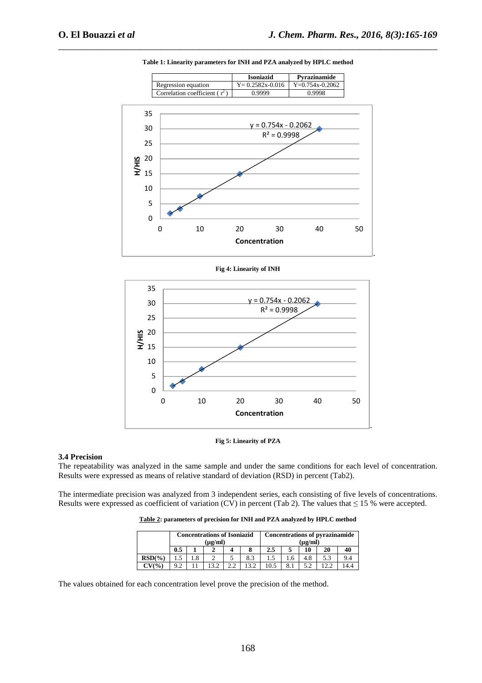

\_\_\_\_\_\_\_\_\_\_\_\_\_\_\_\_\_\_\_\_\_\_\_\_\_\_\_\_\_\_\_\_\_\_\_\_\_\_\_\_\_\_\_\_\_\_\_\_\_\_\_\_\_\_\_\_\_\_\_\_\_\_\_\_\_\_\_\_\_\_\_\_\_\_\_\_\_\_ **Table 1: Linearity parameters for INH and PZA analyzed by HPLC method** 







#### **3.4 Precision**

The repeatability was analyzed in the same sample and under the same conditions for each level of concentration. Results were expressed as means of relative standard of deviation (RSD) in percent (Tab2).

The intermediate precision was analyzed from 3 independent series, each consisting of five levels of concentrations. Results were expressed as coefficient of variation (CV) in percent (Tab 2). The values that  $\leq 15$  % were accepted.

**Table 2: parameters of precision for INH and PZA analyzed by HPLC method** 

|             | <b>Concentrations of Isoniazid</b><br>$(\mu$ g/ml) |                 |    |    |      | <b>Concentrations of pyrazinamide</b><br>$(\mu\mathbf{g}/\mathbf{m})$ |     |     |     |     |
|-------------|----------------------------------------------------|-----------------|----|----|------|-----------------------------------------------------------------------|-----|-----|-----|-----|
|             | 0.5                                                |                 |    |    |      | 2.5                                                                   |     |     | 20  | 40  |
| RSD(%)      |                                                    | $.8\phantom{0}$ |    |    | 8.3  |                                                                       | l.6 | 4.8 | 5.3 | 9.4 |
| $CV($ % $)$ | $\Omega$                                           |                 | 32 | っっ | 13.2 |                                                                       |     | 50  | 2.2 | 4.4 |

The values obtained for each concentration level prove the precision of the method.